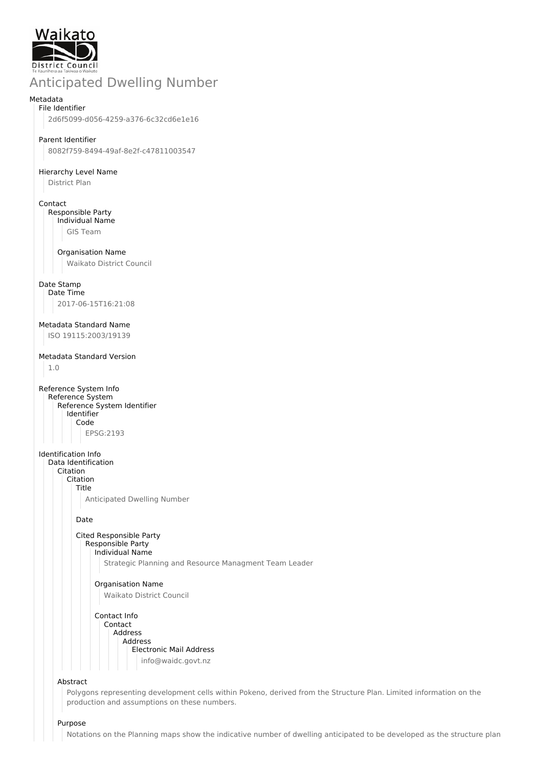

# Anticipated Dwelling Number

#### Metadata File Identifier

2d6f5099-d056-4259-a376-6c32cd6e1e16

## Parent Identifier

8082f759-8494-49af-8e2f-c47811003547

#### Hierarchy Level Name

District Plan

## Contact

Responsible Party Individual Name

GIS Team

#### Organisation Name

Waikato District Council

#### Date Stamp

Date Time 2017-06-15T16:21:08

## Metadata Standard Name

ISO 19115:2003/19139

## Metadata Standard Version

1.0

Reference System Info Reference System Reference System Identifier Identifier Code EPSG:2193

Identification Info

- Data Identification Citation
	- Citation

Title

Anticipated Dwelling Number

Date

#### Cited Responsible Party Responsible Party

Individual Name

Strategic Planning and Resource Managment Team Leader

## Organisation Name Waikato District Council

Contact Info Contact Address Address Electronic Mail Address info@waidc.govt.nz

#### Abstract

Polygons representing development cells within Pokeno, derived from the Structure Plan. Limited information on the production and assumptions on these numbers.

#### Purpose

Notations on the Planning maps show the indicative number of dwelling anticipated to be developed as the structure plan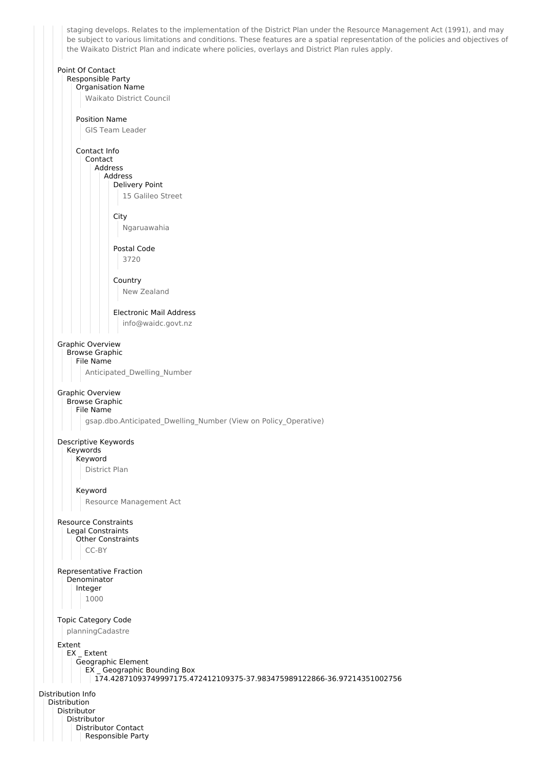staging develops. Relates to the implementation of the District Plan under the Resource Management Act (1991), and may be subject to various limitations and conditions. These features are a spatial representation of the policies and objectives of the Waikato District Plan and indicate where policies, overlays and District Plan rules apply. Point Of Contact Responsible Party Organisation Name Waikato District Council Position Name GIS Team Leader Contact Info Contact Address Address Delivery Point 15 Galileo Street City Ngaruawahia Postal Code 3720 Country New Zealand Electronic Mail Address info@waidc.govt.nz Graphic Overview Browse Graphic File Name Anticipated\_Dwelling\_Number Graphic Overview Browse Graphic File Name gsap.dbo.Anticipated\_Dwelling\_Number (View on Policy\_Operative) Descriptive Keywords Keywords Keyword District Plan Keyword Resource Management Act Resource Constraints Legal Constraints Other Constraints CC-BY Representative Fraction Denominator Integer 1000 Topic Category Code planningCadastre Extent EX \_ Extent Geographic Element EX \_ Geographic Bounding Box 174.42871093749997175.472412109375-37.983475989122866-36.97214351002756 Distribution Info Distribution Distributor Distributor Distributor Contact Responsible Party